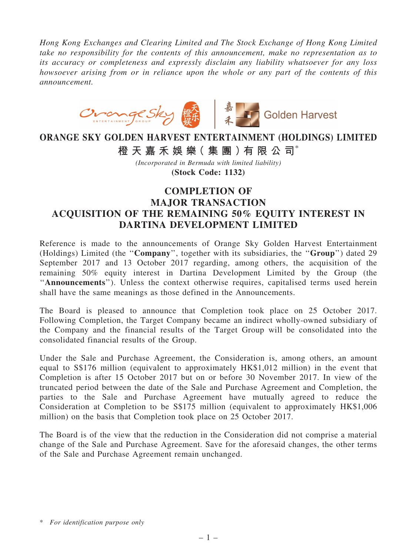*Hong Kong Exchanges and Clearing Limited and The Stock Exchange of Hong Kong Limited take no responsibility for the contents of this announcement, make no representation as to its accuracy or completeness and expressly disclaim any liability whatsoever for any loss howsoever arising from or in reliance upon the whole or any part of the contents of this announcement.*



## ORANGE SKY GOLDEN HARVEST ENTERTAINMENT (HOLDINGS) LIMITED 橙 天 嘉 禾 娛 樂 (集 團 ) 有 限 公 司 $^*$

*(Incorporated in Bermuda with limited liability)*

(Stock Code: 1132)

## COMPLETION OF MAJOR TRANSACTION ACQUISITION OF THE REMAINING 50% EQUITY INTEREST IN DARTINA DEVELOPMENT LIMITED

Reference is made to the announcements of Orange Sky Golden Harvest Entertainment (Holdings) Limited (the ''Company'', together with its subsidiaries, the ''Group'') dated 29 September 2017 and 13 October 2017 regarding, among others, the acquisition of the remaining 50% equity interest in Dartina Development Limited by the Group (the "Announcements"). Unless the context otherwise requires, capitalised terms used herein shall have the same meanings as those defined in the Announcements.

The Board is pleased to announce that Completion took place on 25 October 2017. Following Completion, the Target Company became an indirect wholly-owned subsidiary of the Company and the financial results of the Target Group will be consolidated into the consolidated financial results of the Group.

Under the Sale and Purchase Agreement, the Consideration is, among others, an amount equal to S\$176 million (equivalent to approximately HK\$1,012 million) in the event that Completion is after 15 October 2017 but on or before 30 November 2017. In view of the truncated period between the date of the Sale and Purchase Agreement and Completion, the parties to the Sale and Purchase Agreement have mutually agreed to reduce the Consideration at Completion to be S\$175 million (equivalent to approximately HK\$1,006 million) on the basis that Completion took place on 25 October 2017.

The Board is of the view that the reduction in the Consideration did not comprise a material change of the Sale and Purchase Agreement. Save for the aforesaid changes, the other terms of the Sale and Purchase Agreement remain unchanged.

<sup>\*</sup> *For identification purpose only*